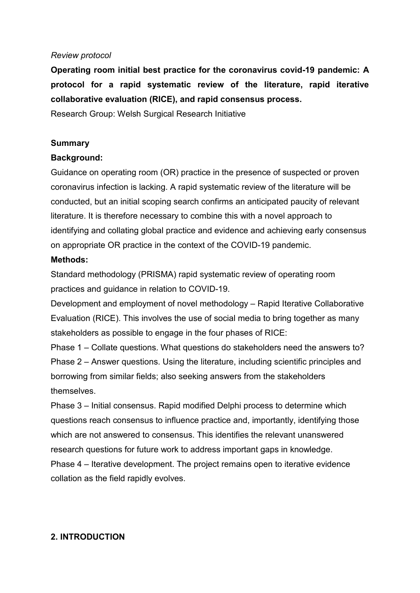### *Review protocol*

**Operating room initial best practice for the coronavirus covid-19 pandemic: A protocol for a rapid systematic review of the literature, rapid iterative collaborative evaluation (RICE), and rapid consensus process.**

Research Group: Welsh Surgical Research Initiative

### **Summary**

### **Background:**

Guidance on operating room (OR) practice in the presence of suspected or proven coronavirus infection is lacking. A rapid systematic review of the literature will be conducted, but an initial scoping search confirms an anticipated paucity of relevant literature. It is therefore necessary to combine this with a novel approach to identifying and collating global practice and evidence and achieving early consensus on appropriate OR practice in the context of the COVID-19 pandemic.

#### **Methods:**

Standard methodology (PRISMA) rapid systematic review of operating room practices and guidance in relation to COVID-19.

Development and employment of novel methodology – Rapid Iterative Collaborative Evaluation (RICE). This involves the use of social media to bring together as many stakeholders as possible to engage in the four phases of RICE:

Phase 1 – Collate questions. What questions do stakeholders need the answers to? Phase 2 – Answer questions. Using the literature, including scientific principles and borrowing from similar fields; also seeking answers from the stakeholders themselves.

Phase 3 – Initial consensus. Rapid modified Delphi process to determine which questions reach consensus to influence practice and, importantly, identifying those which are not answered to consensus. This identifies the relevant unanswered research questions for future work to address important gaps in knowledge. Phase 4 – Iterative development. The project remains open to iterative evidence collation as the field rapidly evolves.

## **2. INTRODUCTION**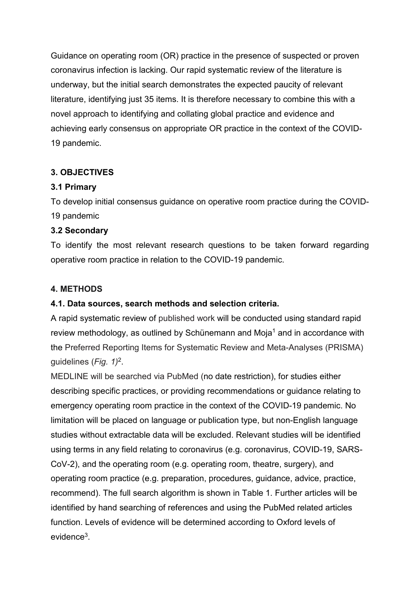Guidance on operating room (OR) practice in the presence of suspected or proven coronavirus infection is lacking. Our rapid systematic review of the literature is underway, but the initial search demonstrates the expected paucity of relevant literature, identifying just 35 items. It is therefore necessary to combine this with a novel approach to identifying and collating global practice and evidence and achieving early consensus on appropriate OR practice in the context of the COVID-19 pandemic.

## **3. OBJECTIVES**

## **3.1 Primary**

To develop initial consensus guidance on operative room practice during the COVID-19 pandemic

# **3.2 Secondary**

To identify the most relevant research questions to be taken forward regarding operative room practice in relation to the COVID-19 pandemic.

# **4. METHODS**

# **4.1. Data sources, search methods and selection criteria.**

A rapid systematic review of published work will be conducted using standard rapid review methodology, as outlined by Schünemann and Moja<sup>1</sup> and in accordance with the Preferred Reporting Items for Systematic Review and Meta-Analyses (PRISMA) guidelines (*Fig. 1)*2.

MEDLINE will be searched via PubMed (no date restriction), for studies either describing specific practices, or providing recommendations or guidance relating to emergency operating room practice in the context of the COVID-19 pandemic. No limitation will be placed on language or publication type, but non-English language studies without extractable data will be excluded. Relevant studies will be identified using terms in any field relating to coronavirus (e.g. coronavirus, COVID-19, SARS-CoV-2), and the operating room (e.g. operating room, theatre, surgery), and operating room practice (e.g. preparation, procedures, guidance, advice, practice, recommend). The full search algorithm is shown in Table 1*.* Further articles will be identified by hand searching of references and using the PubMed related articles function. Levels of evidence will be determined according to Oxford levels of evidence3.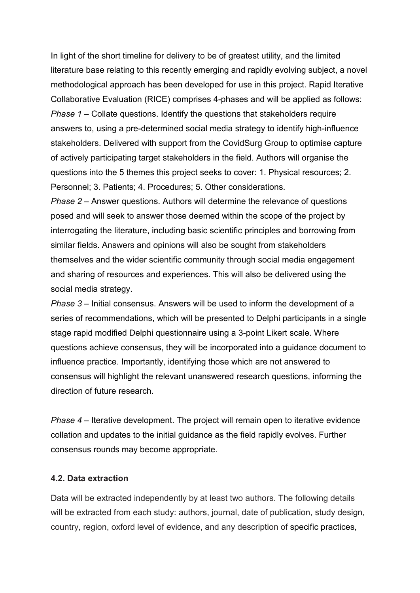In light of the short timeline for delivery to be of greatest utility, and the limited literature base relating to this recently emerging and rapidly evolving subject, a novel methodological approach has been developed for use in this project. Rapid Iterative Collaborative Evaluation (RICE) comprises 4-phases and will be applied as follows: *Phase 1 – Collate questions. Identify the questions that stakeholders require* answers to, using a pre-determined social media strategy to identify high-influence stakeholders. Delivered with support from the CovidSurg Group to optimise capture of actively participating target stakeholders in the field. Authors will organise the questions into the 5 themes this project seeks to cover: 1. Physical resources; 2. Personnel; 3. Patients; 4. Procedures; 5. Other considerations.

*Phase 2* – Answer questions. Authors will determine the relevance of questions posed and will seek to answer those deemed within the scope of the project by interrogating the literature, including basic scientific principles and borrowing from similar fields. Answers and opinions will also be sought from stakeholders themselves and the wider scientific community through social media engagement and sharing of resources and experiences. This will also be delivered using the social media strategy.

*Phase 3* – Initial consensus. Answers will be used to inform the development of a series of recommendations, which will be presented to Delphi participants in a single stage rapid modified Delphi questionnaire using a 3-point Likert scale. Where questions achieve consensus, they will be incorporated into a guidance document to influence practice. Importantly, identifying those which are not answered to consensus will highlight the relevant unanswered research questions, informing the direction of future research.

*Phase 4* – Iterative development. The project will remain open to iterative evidence collation and updates to the initial guidance as the field rapidly evolves. Further consensus rounds may become appropriate.

#### **4.2. Data extraction**

Data will be extracted independently by at least two authors. The following details will be extracted from each study: authors, journal, date of publication, study design, country, region, oxford level of evidence, and any description of specific practices,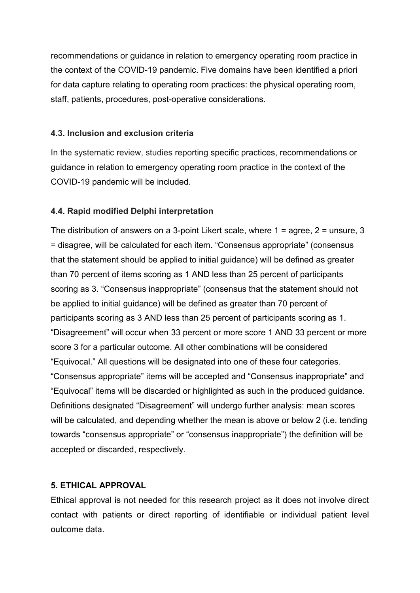recommendations or guidance in relation to emergency operating room practice in the context of the COVID-19 pandemic. Five domains have been identified a priori for data capture relating to operating room practices: the physical operating room, staff, patients, procedures, post-operative considerations.

### **4.3. Inclusion and exclusion criteria**

In the systematic review, studies reporting specific practices, recommendations or guidance in relation to emergency operating room practice in the context of the COVID-19 pandemic will be included.

## **4.4. Rapid modified Delphi interpretation**

The distribution of answers on a 3-point Likert scale, where 1 = agree, 2 = unsure, 3 = disagree, will be calculated for each item. "Consensus appropriate" (consensus that the statement should be applied to initial guidance) will be defined as greater than 70 percent of items scoring as 1 AND less than 25 percent of participants scoring as 3. "Consensus inappropriate" (consensus that the statement should not be applied to initial guidance) will be defined as greater than 70 percent of participants scoring as 3 AND less than 25 percent of participants scoring as 1. "Disagreement" will occur when 33 percent or more score 1 AND 33 percent or more score 3 for a particular outcome. All other combinations will be considered "Equivocal." All questions will be designated into one of these four categories. "Consensus appropriate" items will be accepted and "Consensus inappropriate" and "Equivocal" items will be discarded or highlighted as such in the produced guidance. Definitions designated "Disagreement" will undergo further analysis: mean scores will be calculated, and depending whether the mean is above or below 2 (i.e. tending towards "consensus appropriate" or "consensus inappropriate") the definition will be accepted or discarded, respectively.

## **5. ETHICAL APPROVAL**

Ethical approval is not needed for this research project as it does not involve direct contact with patients or direct reporting of identifiable or individual patient level outcome data.